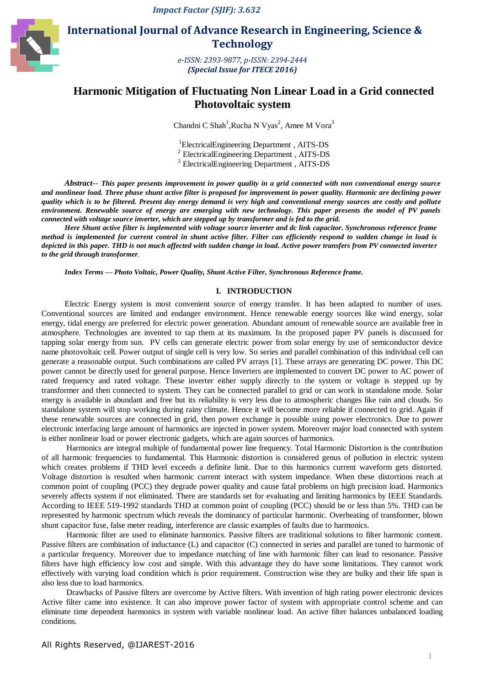*Impact Factor (SJIF): 3.632*



# **International Journal of Advance Research in Engineering, Science & Technology**

*e-ISSN: 2393-9877, p-ISSN: 2394-2444 (Special Issue for ITECE 2016)*

# **Harmonic Mitigation of Fluctuating Non Linear Load in a Grid connected Photovoltaic system**

Chandni C Shah<sup>1</sup>, Rucha N Vyas<sup>2</sup>, Amee M Vora<sup>3</sup>

1 ElectricalEngineering Department , AITS-DS 2 ElectricalEngineering Department , AITS-DS

3 ElectricalEngineering Department , AITS-DS

*Abstract*-- *This paper presents improvement in power quality in a grid connected with non conventional energy source and nonlinear load. Three phase shunt active filter is proposed for improvement in power quality. Harmonic are declining power quality which is to be filtered. Present day energy demand is very high and conventional energy sources are costly and pollute environment. Renewable source of energy are emerging with new technology. This paper presents the model of PV panels connected with voltage source inverter, which are stepped up by transformer and is fed to the grid.*

*Here Shunt active filter is implemented with voltage source inverter and dc link capacitor. Synchronous reference frame method is implemented for current control in shunt active filter. Filter can efficiently respond to sudden change in load is depicted in this paper. THD is not much affected with sudden change in load. Active power transfers from PV connected inverter to the grid through transformer.*

*Index Terms — Photo Voltaic, Power Quality, Shunt Active Filter, Synchronous Reference frame.* 

## **I. INTRODUCTION**

Electric Energy system is most convenient source of energy transfer. It has been adapted to number of uses. Conventional sources are limited and endanger environment. Hence renewable energy sources like wind energy, solar energy, tidal energy are preferred for electric power generation. Abundant amount of renewable source are available free in atmosphere. Technologies are invented to tap them at its maximum. In the proposed paper PV panels is discussed for tapping solar energy from sun. PV cells can generate electric power from solar energy by use of semiconductor device name photovoltaic cell. Power output of single cell is very low. So series and parallel combination of this individual cell can generate a reasonable output. Such combinations are called PV arrays [1]. These arrays are generating DC power. This DC power cannot be directly used for general purpose. Hence Inverters are implemented to convert DC power to AC power of rated frequency and rated voltage. These inverter either supply directly to the system or voltage is stepped up by transformer and then connected to system. They can be connected parallel to grid or can work in standalone mode. Solar energy is available in abundant and free but its reliability is very less due to atmospheric changes like rain and clouds. So standalone system will stop working during rainy climate. Hence it will become more reliable if connected to grid. Again if these renewable sources are connected in grid, then power exchange is possible using power electronics. Due to power electronic interfacing large amount of harmonics are injected in power system. Moreover major load connected with system is either nonlinear load or power electronic gadgets, which are again sources of harmonics.

Harmonics are integral multiple of fundamental power line frequency. Total Harmonic Distortion is the contribution of all harmonic frequencies to fundamental. This Harmonic distortion is considered genus of pollution in electric system which creates problems if THD level exceeds a definite limit. Due to this harmonics current waveform gets distorted. Voltage distortion is resulted when harmonic current interact with system impedance. When these distortions reach at common point of coupling (PCC) they degrade power quality and cause fatal problems on high precision load. Harmonics severely affects system if not eliminated. There are standards set for evaluating and limiting harmonics by IEEE Standards. According to IEEE 519-1992 standards THD at common point of coupling (PCC) should be or less than 5%. THD can be represented by harmonic spectrum which reveals the dominancy of particular harmonic. Overheating of transformer, blown shunt capacitor fuse, false meter reading, interference are classic examples of faults due to harmonics.

Harmonic filter are used to eliminate harmonics. Passive filters are traditional solutions to filter harmonic content. Passive filters are combination of inductance (L) and capacitor (C) connected in series and parallel are tuned to harmonic of a particular frequency. Moreover due to impedance matching of line with harmonic filter can lead to resonance. Passive filters have high efficiency low cost and simple. With this advantage they do have some limitations. They cannot work effectively with varying load condition which is prior requirement. Construction wise they are bulky and their life span is also less due to load harmonics.

Drawbacks of Passive filters are overcome by Active filters. With invention of high rating power electronic devices Active filter came into existence. It can also improve power factor of system with appropriate control scheme and can eliminate time dependent harmonics in system with variable nonlinear load. An active filter balances unbalanced loading conditions.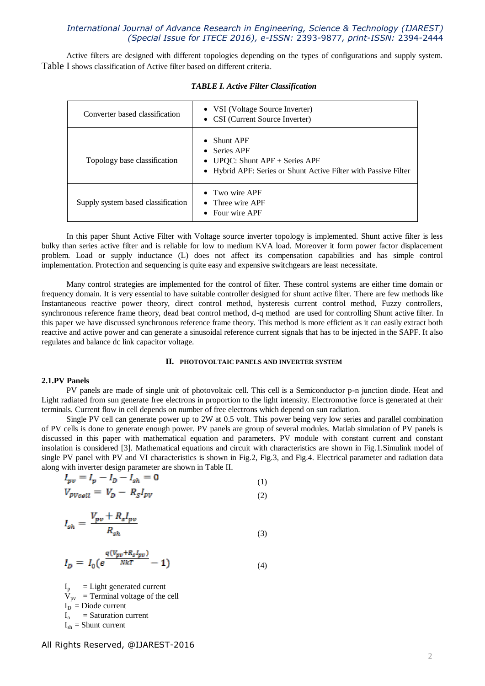Active filters are designed with different topologies depending on the types of configurations and supply system. Table I shows classification of Active filter based on different criteria.

| Converter based classification     | • VSI (Voltage Source Inverter)<br>• CSI (Current Source Inverter)                                                                                   |
|------------------------------------|------------------------------------------------------------------------------------------------------------------------------------------------------|
| Topology base classification       | <b>Shunt APF</b><br>$\bullet$<br>• Series APF<br>• UPQC: Shunt $APF +$ Series APF<br>• Hybrid APF: Series or Shunt Active Filter with Passive Filter |
| Supply system based classification | $\bullet$ Two wire APF<br>$\bullet$ Three wire APF<br>$\bullet$ Four wire APF                                                                        |

#### *TABLE I. Active Filter Classification*

In this paper Shunt Active Filter with Voltage source inverter topology is implemented. Shunt active filter is less bulky than series active filter and is reliable for low to medium KVA load. Moreover it form power factor displacement problem. Load or supply inductance (L) does not affect its compensation capabilities and has simple control implementation. Protection and sequencing is quite easy and expensive switchgears are least necessitate.

Many control strategies are implemented for the control of filter. These control systems are either time domain or frequency domain. It is very essential to have suitable controller designed for shunt active filter. There are few methods like Instantaneous reactive power theory, direct control method, hysteresis current control method, Fuzzy controllers, synchronous reference frame theory, dead beat control method, d-q method are used for controlling Shunt active filter. In this paper we have discussed synchronous reference frame theory. This method is more efficient as it can easily extract both reactive and active power and can generate a sinusoidal reference current signals that has to be injected in the SAPF. It also regulates and balance dc link capacitor voltage.

## **II. PHOTOVOLTAIC PANELS AND INVERTER SYSTEM**

### **2.1.PV Panels**

PV panels are made of single unit of photovoltaic cell. This cell is a Semiconductor p-n junction diode. Heat and Light radiated from sun generate free electrons in proportion to the light intensity. Electromotive force is generated at their terminals. Current flow in cell depends on number of free electrons which depend on sun radiation.

Single PV cell can generate power up to 2W at 0.5 volt. This power being very low series and parallel combination of PV cells is done to generate enough power. PV panels are group of several modules. Matlab simulation of PV panels is discussed in this paper with mathematical equation and parameters. PV module with constant current and constant insolation is considered [3]. Mathematical equations and circuit with characteristics are shown in Fig.1.Simulink model of single PV panel with PV and VI characteristics is shown in Fig.2, Fig.3, and Fig.4. Electrical parameter and radiation data along with inverter design parameter are shown in Table II.

$$
I_{pv} = I_p - I_D - I_{sh} = 0
$$
  
\n
$$
V_{PVcell} = V_D - R_S I_{PV}
$$
 (1)

$$
I_{sh} = \frac{V_{pv} + R_s I_{pv}}{R_{sh}}\tag{3}
$$

$$
I_D = I_0 \left( e^{\frac{q(V_{pv} + R_s I_{pv})}{NkT}} - 1 \right) \tag{4}
$$

 $I_p$  = Light generated current  $V_{\text{pv}}$  = Terminal voltage of the cell  $I_D$  = Diode current  $I_0$  = Saturation current  $I_{sh}$  = Shunt current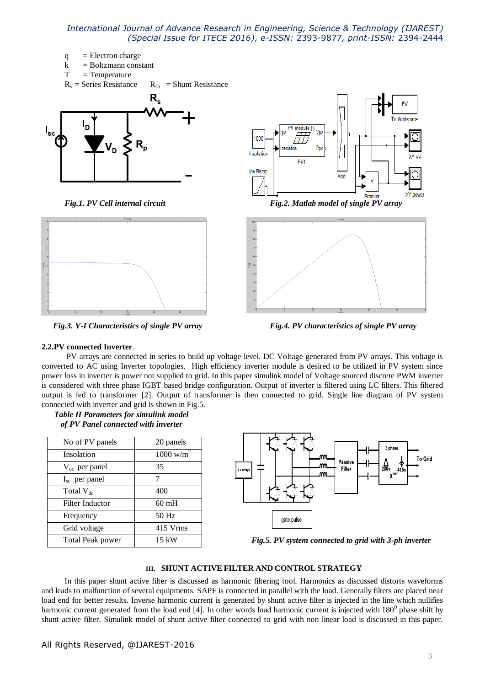



*Fig.3. V-I Characteristics of single PV array Fig.4. PV characteristics of single PV array*



### **2.2.PV connected Inverter***.*

PV arrays are connected in series to build up voltage level. DC Voltage generated from PV arrays. This voltage is converted to AC using Inverter topologies. High efficiency inverter module is desired to be utilized in PV system since power loss in inverter is power not supplied to grid. In this paper simulink model of Voltage sourced discrete PWM inverter is considered with three phase IGBT based bridge configuration. Output of inverter is filtered using LC filters. This filtered output is fed to transformer [2]. Output of transformer is then connected to grid. Single line diagram of PV system connected with inverter and grid is shown in Fig.5.

| <b>Table II Parameters for simulink model</b> |  |
|-----------------------------------------------|--|
| of PV Panel connected with inverter           |  |

| No of PV panels           | 20 panels            |
|---------------------------|----------------------|
| Insolation                | $1000 \text{ w/m}^2$ |
| $V_{\text{oc}}$ per panel | 35                   |
| $I_{\rm sc}$ per panel    | 7                    |
| Total $V_{dc}$            | 400                  |
| Filter Inductor           | $60$ mH              |
| Frequency                 | 50 Hz                |
| Grid voltage              | 415 Vrms             |
| Total Peak power          | $15 \text{ kW}$      |
|                           |                      |



 *Fig.5. PV system connected to grid with 3-ph inverter*

### **III. SHUNT ACTIVE FILTER AND CONTROL STRATEGY**

In this paper shunt active filter is discussed as harmonic filtering tool. Harmonics as discussed distorts waveforms and leads to malfunction of several equipments. SAPF is connected in parallel with the load. Generally filters are placed near load end for better results. Inverse harmonic current is generated by shunt active filter is injected in the line which nullifies harmonic current generated from the load end [4]. In other words load harmonic current is injected with  $180^{\circ}$  phase shift by shunt active filter. Simulink model of shunt active filter connected to grid with non linear load is discussed in this paper.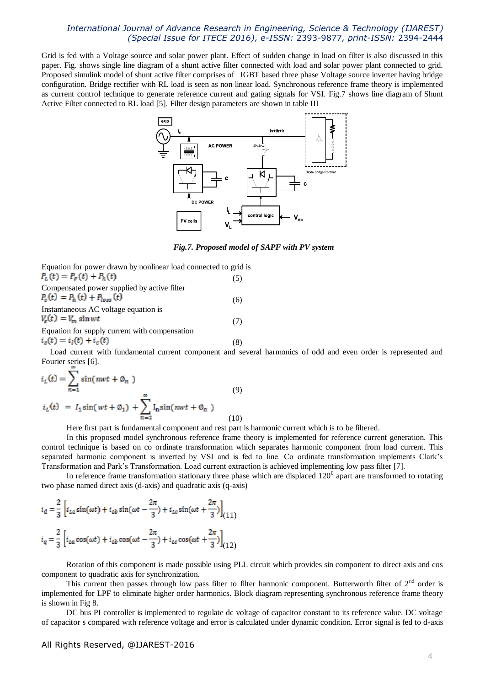Grid is fed with a Voltage source and solar power plant. Effect of sudden change in load on filter is also discussed in this paper. Fig. shows single line diagram of a shunt active filter connected with load and solar power plant connected to grid. Proposed simulink model of shunt active filter comprises of IGBT based three phase Voltage source inverter having bridge configuration. Bridge rectifier with RL load is seen as non linear load. Synchronous reference frame theory is implemented as current control technique to generate reference current and gating signals for VSI. Fig.7 shows line diagram of Shunt Active Filter connected to RL load [5]. Filter design parameters are shown in table III



*Fig.7. Proposed model of SAPF with PV system*

Equation for power drawn by nonlinear load connected to grid is  $P_{L}(t) = P_{F}(t) + P_{h}(t)$ (5) Compensated power supplied by active filter  $P_c(t) = P_h(t) + P_{loss}(t)$ (6)

Instantaneous AC voltage equation is  $V_s(t) = V_m \sin wt$ (7) Equation for supply current with compensation

 $i_s(t) = i_l(t) + i_c(t)$ 

(8)

Load current with fundamental current component and several harmonics of odd and even order is represented and Fourier series [6].

$$
i_L(t) = \sum_{n=1}^{\infty} \sin(nwt + \emptyset_n)
$$
\n(9)  
\n
$$
i_L(t) = I_1 \sin(wt + \emptyset_1) + \sum_{n=2}^{\infty} I_n \sin(nwt + \emptyset_n)
$$
\n(10)

Here first part is fundamental component and rest part is harmonic current which is to be filtered.

In this proposed model synchronous reference frame theory is implemented for reference current generation. This control technique is based on co ordinate transformation which separates harmonic component from load current. This separated harmonic component is inverted by VSI and is fed to line. Co ordinate transformation implements Clark's Transformation and Park's Transformation. Load current extraction is achieved implementing low pass filter [7].

In reference frame transformation stationary three phase which are displaced  $120^0$  apart are transformed to rotating two phase named direct axis (d-axis) and quadratic axis (q-axis)

$$
i_d = \frac{2}{3} \left[ i_{La} \sin(\omega t) + i_{Lb} \sin(\omega t - \frac{2\pi}{3}) + i_{Lc} \sin(\omega t + \frac{2\pi}{3}) \right]_{(11)}
$$
  

$$
i_q = \frac{2}{3} \left[ i_{La} \cos(\omega t) + i_{Lb} \cos(\omega t - \frac{2\pi}{3}) + i_{Lc} \cos(\omega t + \frac{2\pi}{3}) \right]_{(12)}
$$

Rotation of this component is made possible using PLL circuit which provides sin component to direct axis and cos component to quadratic axis for synchronization.

This current then passes through low pass filter to filter harmonic component. Butterworth filter of  $2<sup>nd</sup>$  order is implemented for LPF to eliminate higher order harmonics. Block diagram representing synchronous reference frame theory is shown in Fig 8.

DC bus PI controller is implemented to regulate dc voltage of capacitor constant to its reference value. DC voltage of capacitor s compared with reference voltage and error is calculated under dynamic condition. Error signal is fed to d-axis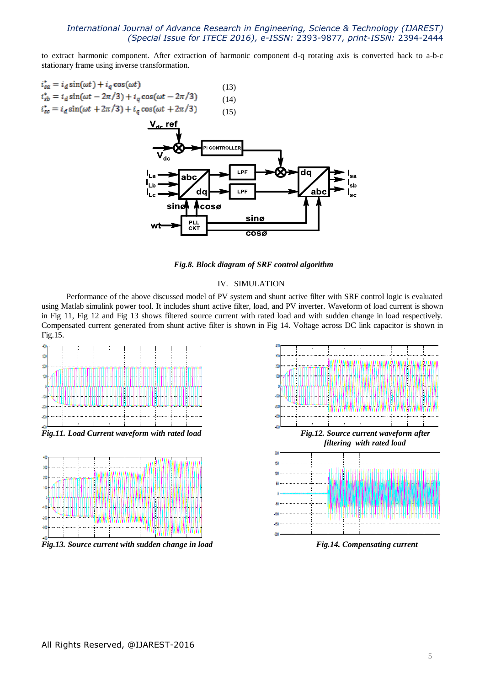to extract harmonic component. After extraction of harmonic component d-q rotating axis is converted back to a-b-c stationary frame using inverse transformation.

- $i_{sa}^* = i_d \sin(\omega t) + i_g \cos(\omega t)$  (13)  $i_{sb}^* = i_d \sin(\omega t - 2\pi/3) + i_q \cos(\omega t - 2\pi/3)$ (14)
- $i_{sc}^* = i_d \sin(\omega t + 2\pi/3) + i_q \cos(\omega t + 2\pi/3)$ (15)



*Fig.8. Block diagram of SRF control algorithm*

### IV. SIMULATION

Performance of the above discussed model of PV system and shunt active filter with SRF control logic is evaluated using Matlab simulink power tool. It includes shunt active filter, load, and PV inverter. Waveform of load current is shown in Fig 11, Fig 12 and Fig 13 shows filtered source current with rated load and with sudden change in load respectively. Compensated current generated from shunt active filter is shown in Fig 14. Voltage across DC link capacitor is shown in Fig.15.





*Fig.13. Source current with sudden change in load* Fig.14. Compensating current

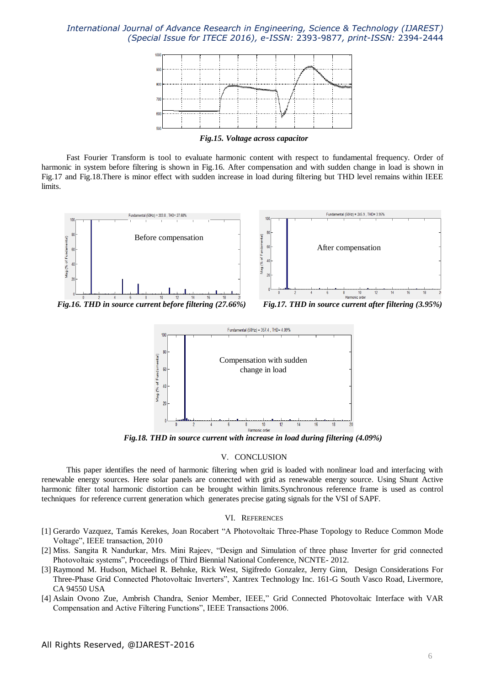

*Fig.15. Voltage across capacitor*

Fast Fourier Transform is tool to evaluate harmonic content with respect to fundamental frequency. Order of harmonic in system before filtering is shown in Fig.16. After compensation and with sudden change in load is shown in Fig.17 and Fig.18.There is minor effect with sudden increase in load during filtering but THD level remains within IEEE limits.



 *Fig.16. THD in source current before filtering (27.66%) Fig.17. THD in source current after filtering (3.95%)*



*Fig.18. THD in source current with increase in load during filtering (4.09%)*

#### V. CONCLUSION

This paper identifies the need of harmonic filtering when grid is loaded with nonlinear load and interfacing with renewable energy sources. Here solar panels are connected with grid as renewable energy source. Using Shunt Active harmonic filter total harmonic distortion can be brought within limits.Synchronous reference frame is used as control techniques for reference current generation which generates precise gating signals for the VSI of SAPF.

#### VI. REFERENCES

- [1] Gerardo Vazquez, Tamás Kerekes, Joan Rocabert "A Photovoltaic Three-Phase Topology to Reduce Common Mode Voltage", IEEE transaction, 2010
- [2] Miss. Sangita R Nandurkar, Mrs. Mini Rajeev, "Design and Simulation of three phase Inverter for grid connected Photovoltaic systems", Proceedings of Third Biennial National Conference, NCNTE- 2012.
- [3] Raymond M. Hudson, Michael R. Behnke, Rick West, Sigifredo Gonzalez, Jerry Ginn, Design Considerations For Three-Phase Grid Connected Photovoltaic Inverters", Xantrex Technology Inc. 161-G South Vasco Road, Livermore, CA 94550 USA
- [4] Aslain Ovono Zue, Ambrish Chandra, Senior Member, IEEE," Grid Connected Photovoltaic Interface with VAR Compensation and Active Filtering Functions", IEEE Transactions 2006.